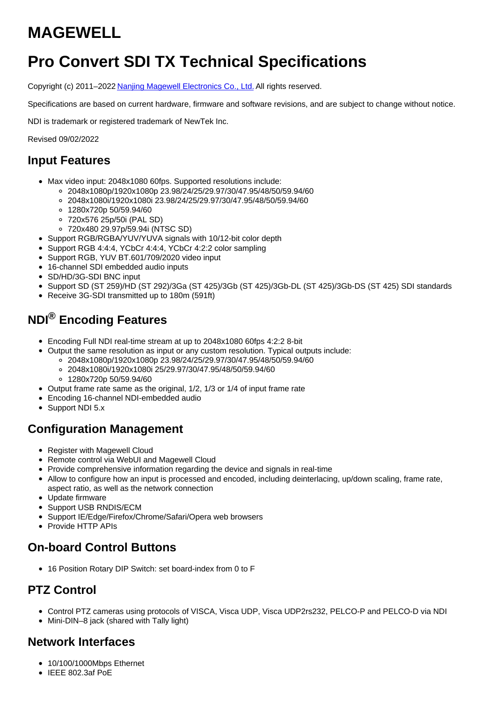# **MAGEWELL**

# **Pro Convert SDI TX Technical Specifications**

Copyright (c) 2011–2022 Nanjing Magewell [Electronics](http://www.magewell.com) Co., Ltd. All rights reserved.

Specifications are based on current hardware, firmware and software revisions, and are subject to change without notice.

NDI is trademark or registered trademark of NewTek Inc.

Revised 09/02/2022

#### **Input Features**

- Max video input: 2048x1080 60fps. Supported resolutions include:
	- 2048x1080p/1920x1080p 23.98/24/25/29.97/30/47.95/48/50/59.94/60
	- 2048x1080i/1920x1080i 23.98/24/25/29.97/30/47.95/48/50/59.94/60
	- 1280x720p 50/59.94/60
	- 720x576 25p/50i (PAL SD)
	- 720x480 29.97p/59.94i (NTSC SD)
- Support RGB/RGBA/YUV/YUVA signals with 10/12-bit color depth
- Support RGB 4:4:4, YCbCr 4:4:4, YCbCr 4:2:2 color sampling
- Support RGB, YUV BT.601/709/2020 video input
- 16-channel SDI embedded audio inputs
- SD/HD/3G-SDI BNC input
- Support SD (ST 259)/HD (ST 292)/3Ga (ST 425)/3Gb (ST 425)/3Gb-DL (ST 425)/3Gb-DS (ST 425) SDI standards
- Receive 3G-SDI transmitted up to 180m (591ft)

## **NDI® Encoding Features**

- Encoding Full NDI real-time stream at up to 2048x1080 60fps 4:2:2 8-bit
- Output the same resolution as input or any custom resolution. Typical outputs include: 2048x1080p/1920x1080p 23.98/24/25/29.97/30/47.95/48/50/59.94/60
	- 2048x1080i/1920x1080i 25/29.97/30/47.95/48/50/59.94/60
	- 1280x720p 50/59.94/60
- Output frame rate same as the original, 1/2, 1/3 or 1/4 of input frame rate
- Encoding 16-channel NDI-embedded audio
- Support NDI 5.x

#### **Configuration Management**

- Register with Magewell Cloud
- Remote control via WebUI and Magewell Cloud
- Provide comprehensive information regarding the device and signals in real-time
- Allow to configure how an input is processed and encoded, including deinterlacing, up/down scaling, frame rate, aspect ratio, as well as the network connection
- Update firmware
- Support USB RNDIS/ECM
- Support IE/Edge/Firefox/Chrome/Safari/Opera web browsers
- Provide HTTP APIs

# **On-board Control Buttons**

16 Position Rotary DIP Switch: set board-index from 0 to F

# **PTZ Control**

- Control PTZ cameras using protocols of VISCA, Visca UDP, Visca UDP2rs232, PELCO-P and PELCO-D via NDI
- Mini-DIN–8 jack (shared with Tally light)

## **Network Interfaces**

- 10/100/1000Mbps Ethernet
- $\bullet$  IEEE 802.3af PoE